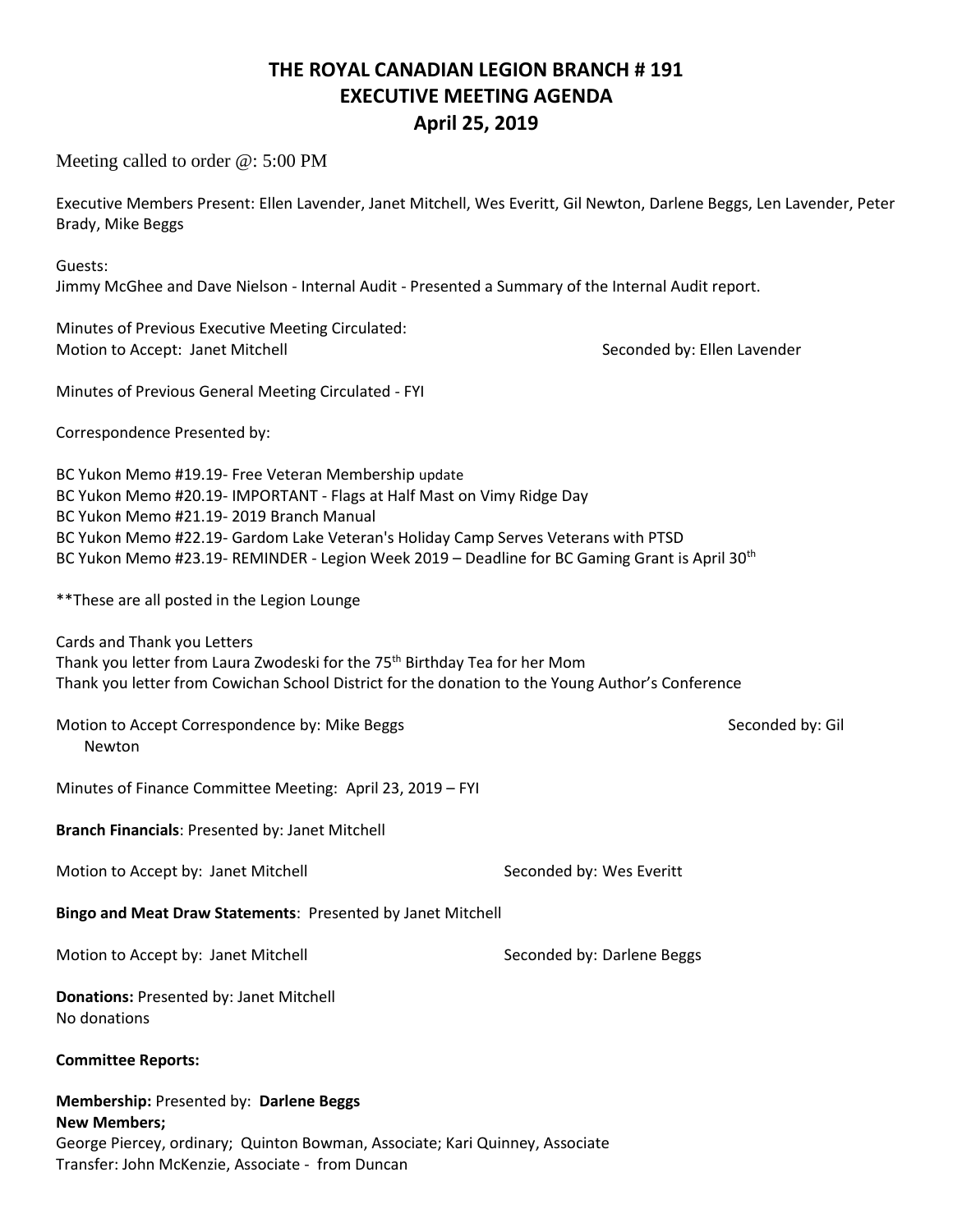## **THE ROYAL CANADIAN LEGION BRANCH # 191 EXECUTIVE MEETING AGENDA April 25, 2019**

Meeting called to order @: 5:00 PM

Executive Members Present: Ellen Lavender, Janet Mitchell, Wes Everitt, Gil Newton, Darlene Beggs, Len Lavender, Peter Brady, Mike Beggs

Guests: Jimmy McGhee and Dave Nielson - Internal Audit - Presented a Summary of the Internal Audit report.

Minutes of Previous Executive Meeting Circulated: Motion to Accept: Janet Mitchell Seconded by: Ellen Lavender

Minutes of Previous General Meeting Circulated - FYI

Correspondence Presented by:

BC Yukon Memo #19.19- Free Veteran Membership update BC Yukon Memo #20.19- IMPORTANT - Flags at Half Mast on Vimy Ridge Day BC Yukon Memo #21.19- 2019 Branch Manual BC Yukon Memo #22.19- Gardom Lake Veteran's Holiday Camp Serves Veterans with PTSD BC Yukon Memo #23.19- REMINDER - Legion Week 2019 – Deadline for BC Gaming Grant is April 30th

\*\*These are all posted in the Legion Lounge

Cards and Thank you Letters Thank you letter from Laura Zwodeski for the 75<sup>th</sup> Birthday Tea for her Mom Thank you letter from Cowichan School District for the donation to the Young Author's Conference

Motion to Accept Correspondence by: Mike Beggs Seconded by: Gil Newton

Minutes of Finance Committee Meeting: April 23, 2019 – FYI

**Branch Financials**: Presented by: Janet Mitchell

Motion to Accept by: Janet Mitchell Seconded by: Wes Everitt

**Bingo and Meat Draw Statements**: Presented by Janet Mitchell

Motion to Accept by: Janet Mitchell Seconded by: Darlene Beggs

**Donations:** Presented by: Janet Mitchell No donations

**Committee Reports:**

**Membership:** Presented by: **Darlene Beggs**

**New Members;** George Piercey, ordinary; Quinton Bowman, Associate; Kari Quinney, Associate Transfer: John McKenzie, Associate - from Duncan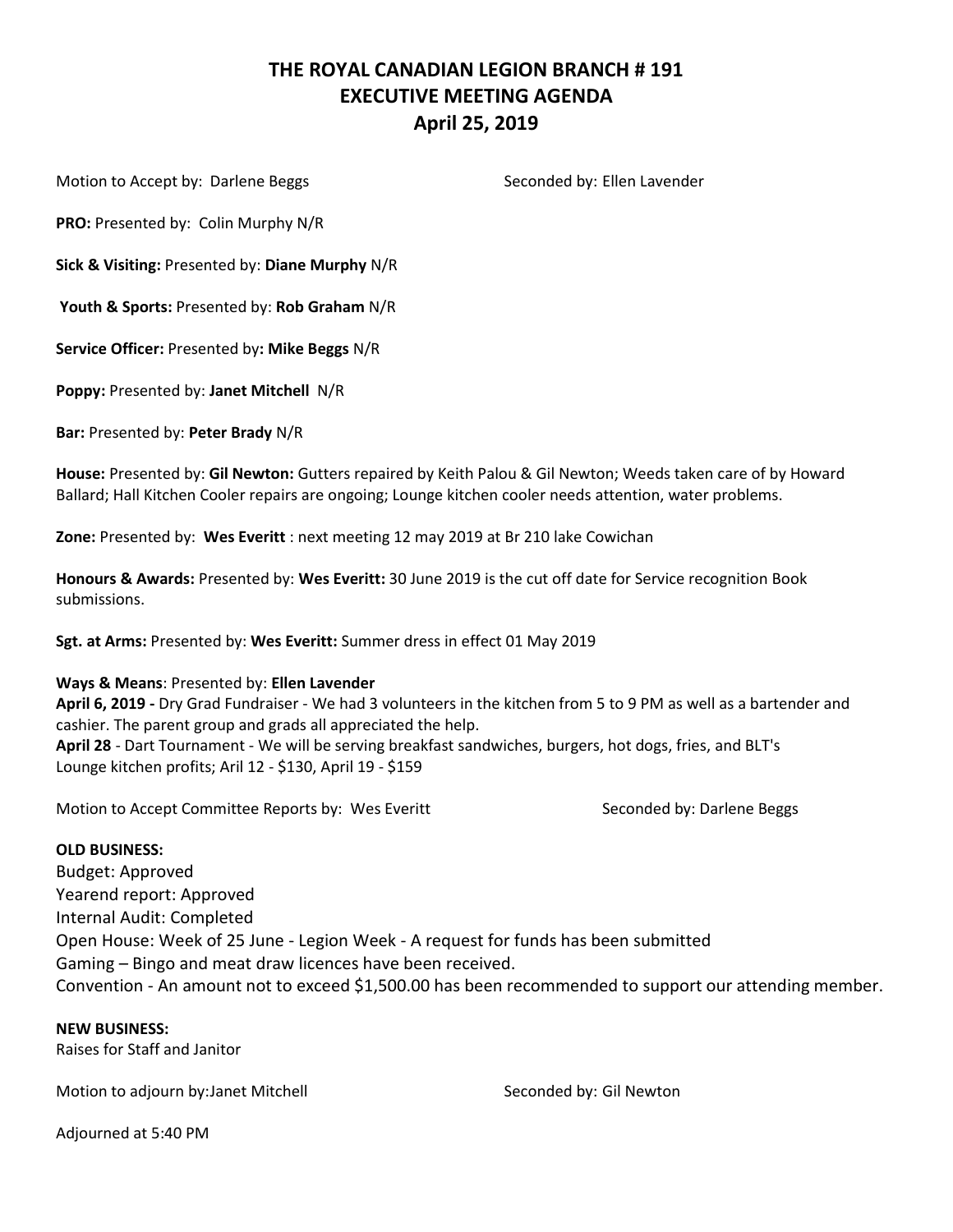## **THE ROYAL CANADIAN LEGION BRANCH # 191 EXECUTIVE MEETING AGENDA April 25, 2019**

Motion to Accept by: Darlene Beggs Seconded by: Ellen Lavender

**PRO:** Presented by: Colin Murphy N/R

**Sick & Visiting:** Presented by: **Diane Murphy** N/R

**Youth & Sports:** Presented by: **Rob Graham** N/R

**Service Officer:** Presented by**: Mike Beggs** N/R

**Poppy:** Presented by: **Janet Mitchell** N/R

**Bar:** Presented by: **Peter Brady** N/R

**House:** Presented by: **Gil Newton:** Gutters repaired by Keith Palou & Gil Newton; Weeds taken care of by Howard Ballard; Hall Kitchen Cooler repairs are ongoing; Lounge kitchen cooler needs attention, water problems.

**Zone:** Presented by: **Wes Everitt** : next meeting 12 may 2019 at Br 210 lake Cowichan

**Honours & Awards:** Presented by: **Wes Everitt:** 30 June 2019 is the cut off date for Service recognition Book submissions.

**Sgt. at Arms:** Presented by: **Wes Everitt:** Summer dress in effect 01 May 2019

#### **Ways & Means**: Presented by: **Ellen Lavender**

**April 6, 2019 -** Dry Grad Fundraiser - We had 3 volunteers in the kitchen from 5 to 9 PM as well as a bartender and cashier. The parent group and grads all appreciated the help. **April 28** - Dart Tournament - We will be serving breakfast sandwiches, burgers, hot dogs, fries, and BLT's Lounge kitchen profits; Aril 12 - \$130, April 19 - \$159

Motion to Accept Committee Reports by: Wes Everitt Seconded by: Darlene Beggs

#### **OLD BUSINESS:**

Budget: Approved Yearend report: Approved Internal Audit: Completed Open House: Week of 25 June - Legion Week - A request for funds has been submitted Gaming – Bingo and meat draw licences have been received. Convention - An amount not to exceed \$1,500.00 has been recommended to support our attending member.

**NEW BUSINESS:**

Raises for Staff and Janitor

Motion to adjourn by: Janet Mitchell Seconded by: Gil Newton

Adjourned at 5:40 PM